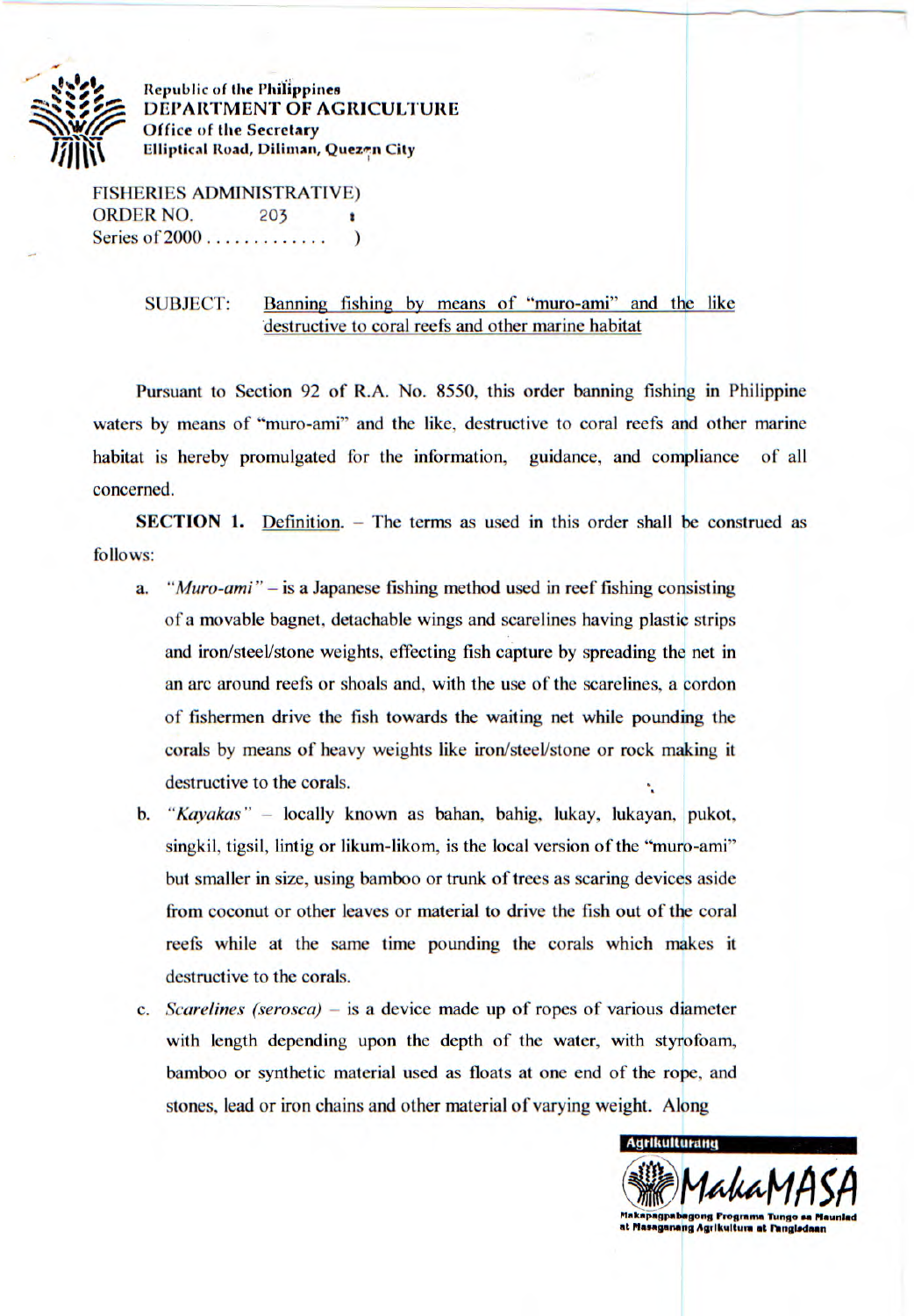

**Republic of the Philippines DEPARTMENT OF AGRICULTURE Office of the Secretary**  *<sup>I</sup>*r **ff I Elliptical Road, Dilirnan, Quezvz City** 

FISHERIES ADMINISTRATIVE) ORDER NO. 203 Series of 2000 . . . . . . . . . . . .

## SUBJECT: Banning fishing by means of "muro-ami" and the like destructive to coral reefs and other marine habitat

Pursuant to Section 92 of R.A. No. *8550,* this order banning fishing in Philippine waters by means of "muro-ami" and the like, destructive to coral reefs and other marine habitat is hereby promulgated for the information, guidance, and compliance of all concerned.

SECTION 1. Definition. - The terms as used in this order shall be construed as follows:

- *a. "Muro-ami" is* a Japanese fishing method used in reef fishing consisting of a movable bagnet, detachable wings and scarelines having plastic strips and iron/steel/stone weights, effecting fish capture by spreading the net in an arc around reefs or shoals and, with the use of the scarelines, a cordon of fishermen drive the fish towards the waiting net while pounding the corals by means of heavy weights like iron/steel/stone or rock making it destructive to the corals.
- *b. "Kayakas"* locally known as bahan, hahig, lukay, lukayan. pukot, singkil, tigsil, lintig or likum-likom, is the local version of the "muro-ami" but smaller in size, using bamboo or trunk of trees as scaring devices aside from coconut or other leaves or material to drive the fish out of the coral reefs while at the same time pounding the corals which makes it destructive to the corals.
- *c. Scarelines (serosca) is* a device made up of ropes of various diameter with length depending upon the depth of the water, with styrofoam, bamboo or synthetic material used as floats at one end of the rope, and stones, lead or iron chains and other material of varying weight. Along

**Agrikulturang Plakapagpabagong Programa Tungo** at Masaganang Agrikultura at **Fangisdaan**